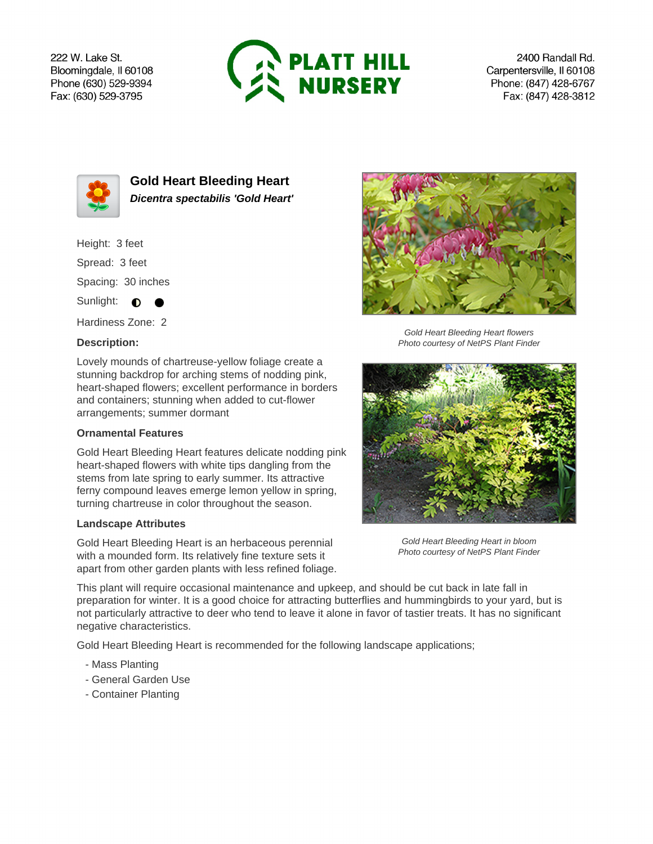222 W. Lake St. Bloomingdale, Il 60108 Phone (630) 529-9394 Fax: (630) 529-3795



2400 Randall Rd. Carpentersville, Il 60108 Phone: (847) 428-6767 Fax: (847) 428-3812



**Gold Heart Bleeding Heart Dicentra spectabilis 'Gold Heart'**

Height: 3 feet

Spread: 3 feet

Spacing: 30 inches

Sunlight:  $\bullet$ 

Hardiness Zone: 2

## **Description:**

Lovely mounds of chartreuse-yellow foliage create a stunning backdrop for arching stems of nodding pink, heart-shaped flowers; excellent performance in borders and containers; stunning when added to cut-flower arrangements; summer dormant

## **Ornamental Features**

Gold Heart Bleeding Heart features delicate nodding pink heart-shaped flowers with white tips dangling from the stems from late spring to early summer. Its attractive ferny compound leaves emerge lemon yellow in spring, turning chartreuse in color throughout the season.

## **Landscape Attributes**

Gold Heart Bleeding Heart is an herbaceous perennial with a mounded form. Its relatively fine texture sets it apart from other garden plants with less refined foliage.



Gold Heart Bleeding Heart flowers Photo courtesy of NetPS Plant Finder



Gold Heart Bleeding Heart in bloom Photo courtesy of NetPS Plant Finder

This plant will require occasional maintenance and upkeep, and should be cut back in late fall in preparation for winter. It is a good choice for attracting butterflies and hummingbirds to your yard, but is not particularly attractive to deer who tend to leave it alone in favor of tastier treats. It has no significant negative characteristics.

Gold Heart Bleeding Heart is recommended for the following landscape applications;

- Mass Planting
- General Garden Use
- Container Planting